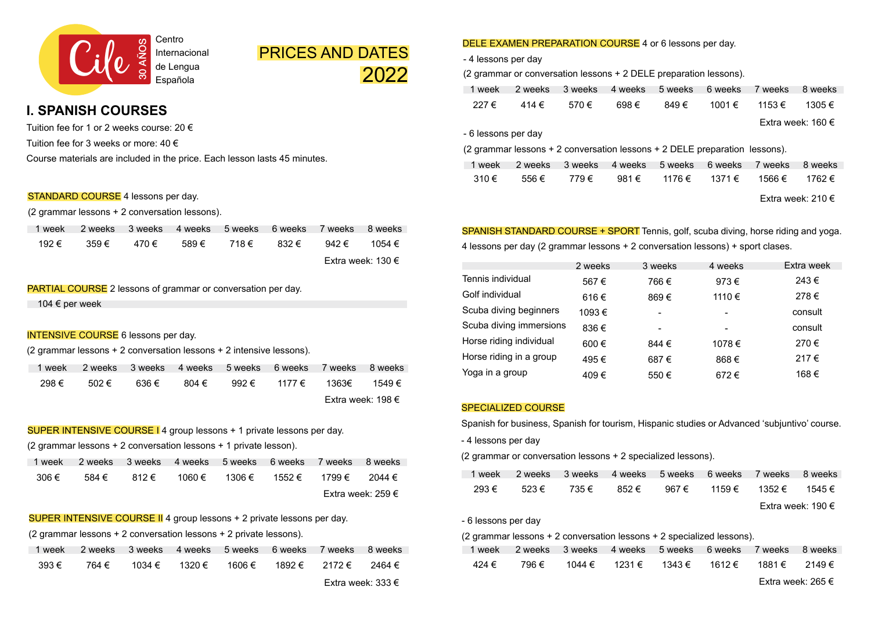

# PRICES AND DATES 2022

# **I. SPANISH COURSES**

Tuition fee for 1 or 2 weeks course: 20 € Tuition fee for 3 weeks or more:  $40 \in$ Course materials are included in the price. Each lesson lasts 45 minutes.

#### STANDARD COURSE 4 lessons per day.

(2 grammar lessons + 2 conversation lessons).

| 1 week | 2 weeks  3 weeks  4 weeks  5 weeks  6 weeks  7 weeks  8 weeks |                   |       |       |                   |
|--------|---------------------------------------------------------------|-------------------|-------|-------|-------------------|
| 192 €  | 359€                                                          | 470 € 589 € 718 € | 832 € | 942 € | 1054 €            |
|        |                                                               |                   |       |       | Extra week: 130 € |

### PARTIAL COURSE 2 lessons of grammar or conversation per day.

104 € per week

### **INTENSIVE COURSE** 6 lessons per day.

(2 grammar lessons + 2 conversation lessons + 2 intensive lessons).

| 1 week |       |       |       |       | 2 weeks 3 weeks 4 weeks 5 weeks 6 weeks 7 weeks |                     | 8 weeks |
|--------|-------|-------|-------|-------|-------------------------------------------------|---------------------|---------|
| 298 €  | 502 € | 636 € | 804 € | 992 € |                                                 | 1177 € 1363€ 1549 € |         |
|        |       |       |       |       |                                                 | Extra week: 198 €   |         |

### SUPER INTENSIVE COURSE I 4 group lessons + 1 private lessons per day.

(2 grammar lessons + 2 conversation lessons + 1 private lesson).

| 1 week |       |       | 2 weeks 3 weeks 4 weeks 5 weeks 6 weeks 7 weeks |        |               | 8 weeks           |
|--------|-------|-------|-------------------------------------------------|--------|---------------|-------------------|
| 306 €  | 584 € | 812 € | 1060 €                                          | 1306 € | 1552 € 1799 € | 2044 €            |
|        |       |       |                                                 |        |               | Extra week: 259 € |

## SUPER INTENSIVE COURSE II 4 group lessons + 2 private lessons per day.

(2 grammar lessons + 2 conversation lessons + 2 private lessons).

| 1 week |       | 2 weeks 3 weeks 4 weeks 5 weeks 6 weeks 7 weeks 8 weeks |  |                      |                   |
|--------|-------|---------------------------------------------------------|--|----------------------|-------------------|
| 393 €  | 764 € | 1034 € 1320 € 1606 €                                    |  | 1892 € 2172 € 2464 € |                   |
|        |       |                                                         |  |                      | Extra week: 333 € |

# DELE EXAMEN PREPARATION COURSE 4 or 6 lessons per day.

- 4 lessons per day

(2 grammar or conversation lessons + 2 DELE preparation lessons).

| 1 week              | 2 weeks                                                                    | 3 weeks | 4 weeks        | 5 weeks | 6 weeks | 7 weeks | 8 weeks                    |
|---------------------|----------------------------------------------------------------------------|---------|----------------|---------|---------|---------|----------------------------|
| 227€                | 414€                                                                       | 570 €   | 698€           | 849€    | 1001€   | 1153 €  | 1305€                      |
|                     |                                                                            |         |                |         |         |         | Extra week: 160 $\epsilon$ |
| - 6 lessons per day |                                                                            |         |                |         |         |         |                            |
|                     | (2 grammar lessons + 2 conversation lessons + 2 DELE preparation lessons). |         |                |         |         |         |                            |
| 1 week              | 2 weeks                                                                    | 3 weeks | 4 weeks        | 5 weeks | 6 weeks | 7 weeks | 8 weeks                    |
| 310€                | 556€                                                                       | 779€    | 981 $\epsilon$ | 1176 €  | 1371 €  | 1566 €  | 1762 €                     |
|                     |                                                                            |         |                |         |         |         | Extra week: 210 $\epsilon$ |

SPANISH STANDARD COURSE + SPORT Tennis, golf, scuba diving, horse riding and yoga. 4 lessons per day (2 grammar lessons + 2 conversation lessons) + sport clases.

|                         | 2 weeks | 3 weeks                  | 4 weeks                  | Extra week |
|-------------------------|---------|--------------------------|--------------------------|------------|
| Tennis individual       | 567€    | 766€                     | 973€                     | 243€       |
| Golf individual         | 616€    | 869€                     | 1110€                    | 278€       |
| Scuba diving beginners  | 1093€   | $\blacksquare$           | $\overline{\phantom{a}}$ | consult    |
| Scuba diving immersions | 836€    | $\overline{\phantom{a}}$ | $\overline{\phantom{a}}$ | consult    |
| Horse riding individual | 600€    | 844 €                    | 1078€                    | 270€       |
| Horse riding in a group | 495€    | 687€                     | 868€                     | 217€       |
| Yoga in a group         | 409€    | 550€                     | 672€                     | 168€       |

#### SPECIALIZED COURSE

Spanish for business, Spanish for tourism, Hispanic studies or Advanced 'subjuntivo' course.

- 4 lessons per day

(2 grammar or conversation lessons + 2 specialized lessons).

| 1 week |       |       |       | 2 weeks 3 weeks 4 weeks 5 weeks 6 weeks 7 weeks |                      | 8 weeks           |
|--------|-------|-------|-------|-------------------------------------------------|----------------------|-------------------|
| 293€   | 523 € | 735 € | 852 € | 967 €                                           | 1159 € 1352 € 1545 € |                   |
|        |       |       |       |                                                 |                      | Extra week: 190 € |

- 6 lessons per day

### (2 grammar lessons + 2 conversation lessons + 2 specialized lessons).

|       | 1 week 2 weeks 3 weeks 4 weeks 5 weeks 6 weeks 7 weeks 8 weeks |                                                 |  |                   |
|-------|----------------------------------------------------------------|-------------------------------------------------|--|-------------------|
| 424 € |                                                                | 796 € 1044 € 1231 € 1343 € 1612 € 1881 € 2149 € |  |                   |
|       |                                                                |                                                 |  | Fxtra week: 265 € |